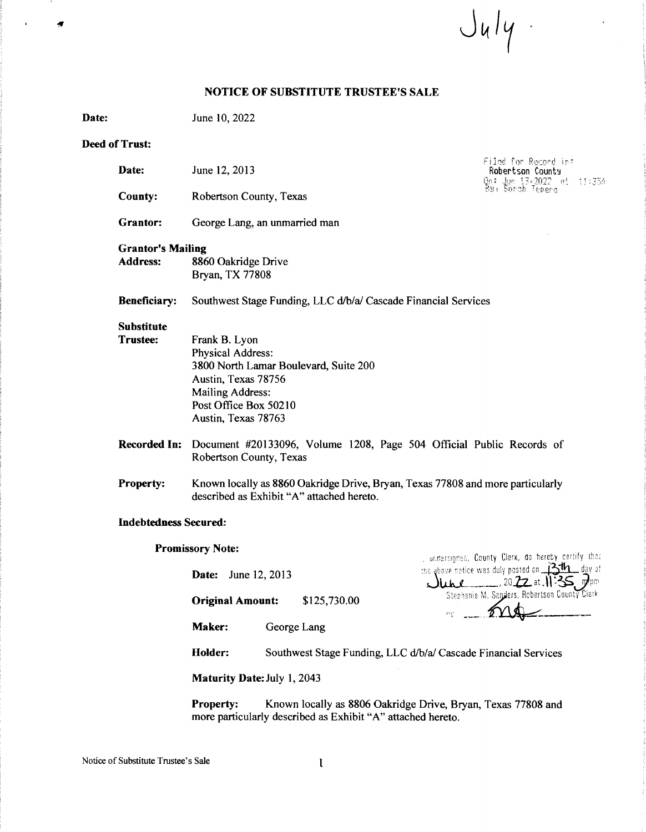$J_{4}/4$ 

## **NOTICE OF SUBSTITUTE TRUSTEE'S SALE**

**Date:**  June 10, 2022

### **Deed of Trust:**

| Date:                                       | June 12, 2013                                                                                                                                                          | Filad for Record in:<br><b>Robertson County</b><br>On: Jun 13-2022 int 11:33A<br>Bu) Sarah Tepera |  |
|---------------------------------------------|------------------------------------------------------------------------------------------------------------------------------------------------------------------------|---------------------------------------------------------------------------------------------------|--|
| <b>County:</b>                              | Robertson County, Texas                                                                                                                                                |                                                                                                   |  |
| Grantor:                                    | George Lang, an unmarried man                                                                                                                                          |                                                                                                   |  |
| <b>Grantor's Mailing</b><br><b>Address:</b> | 8860 Oakridge Drive<br>Bryan, TX 77808                                                                                                                                 |                                                                                                   |  |
| Beneficiary:                                | Southwest Stage Funding, LLC d/b/a/ Cascade Financial Services                                                                                                         |                                                                                                   |  |
| <b>Substitute</b><br><b>Trustee:</b>        | Frank B. Lyon<br>Physical Address:<br>3800 North Lamar Boulevard, Suite 200<br>Austin, Texas 78756<br>Mailing Address:<br>Post Office Box 50210<br>Austin, Texas 78763 |                                                                                                   |  |
| <b>Recorded In:</b>                         | Document #20133096, Volume 1208, Page 504 Official Public Records of<br>Robertson County, Texas                                                                        |                                                                                                   |  |
| Property:                                   | Known locally as 8860 Oakridge Drive, Bryan, Texas 77808 and more particularly<br>described as Exhibit "A" attached hereto.                                            |                                                                                                   |  |
| <b>Indebtedness Secured:</b>                |                                                                                                                                                                        |                                                                                                   |  |
|                                             | <b>Promissory Note:</b>                                                                                                                                                | , undersigned, County Clerk, do hereby certify that                                               |  |
|                                             | June 12, 2013<br>Date:                                                                                                                                                 | the above notice was duly posted on $\frac{3\pi}{125}$ day of                                     |  |

**Original Amount:** \$125,730.00

**Maker:** George Lang

 $\sqrt{\frac{\mu_{\mu}}{2}}$ . 2022 at 11:35,  $\vec{p}_{\text{p}}$ Stephanie M. Sa**nders, Robertson County Cierk**  $11.6$ 

Holder: Southwest Stage Funding, LLC d/b/a/ Cascade Financial Services

**Maturity Date:** July 1, 2043

**Property:** Known locally as 8806 Oakridge Drive, Bryan, Texas 77808 and more particularly described as Exhibit "A" attached hereto.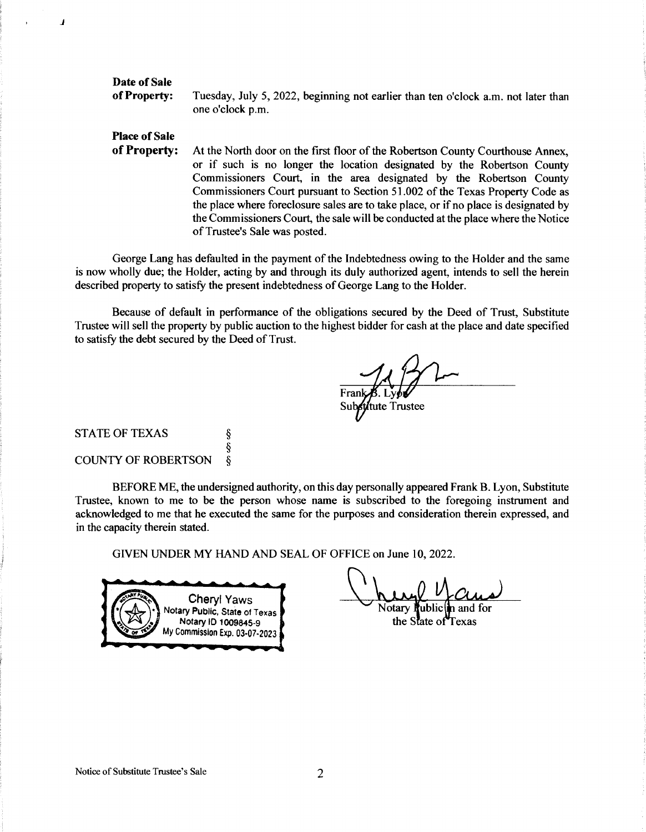## **Date of Sale of Property:**

**j** 

Tuesday, July 5, 2022, beginning not earlier than ten o'clock a.m. not later than one o'clock p.m.

# **Place of Sale of Property:**

At the North door on the first floor of the Robertson County Courthouse Annex, or if such is no longer the location designated by the Robertson County Commissioners Court, in the area designated by the Robertson County Commissioners Court pursuant to Section 51.002 of the Texas Property Code as the place where foreclosure sales are to take place, or if no place is designated by the Commissioners Court, the sale will be conducted at the place where the Notice of Trustee's Sale was posted.

George Lang has defaulted in the payment of the Indebtedness owing to the Holder and the same is now wholly due; the Holder, acting by and through its duly authorized agent, intends to sell the herein described property to satisfy the present indebtedness of George Lang to the Holder.

Because of default in performance of the obligations secured by the Deed of Trust, Substitute Trustee will sell the property by public auction to the highest bidder for cash at the place and date specified to satisfy the debt secured by the Deed of Trust.

stitute Trustee

# STATE OF TEXAS § § COUNTY OF ROBERTSON §

BEFORE ME, the undersigned authority, on this day personally appeared Frank B. Lyon, Substitute Trustee, known to me to be the person whose name is subscribed to the foregoing instrument and acknowledged to me that he executed the same for the purposes and consideration therein expressed, and in the capacity therein stated.

GIVEN UNDER MY HAND AND SEAL OF OFFICE on June 10, 2022.



the State of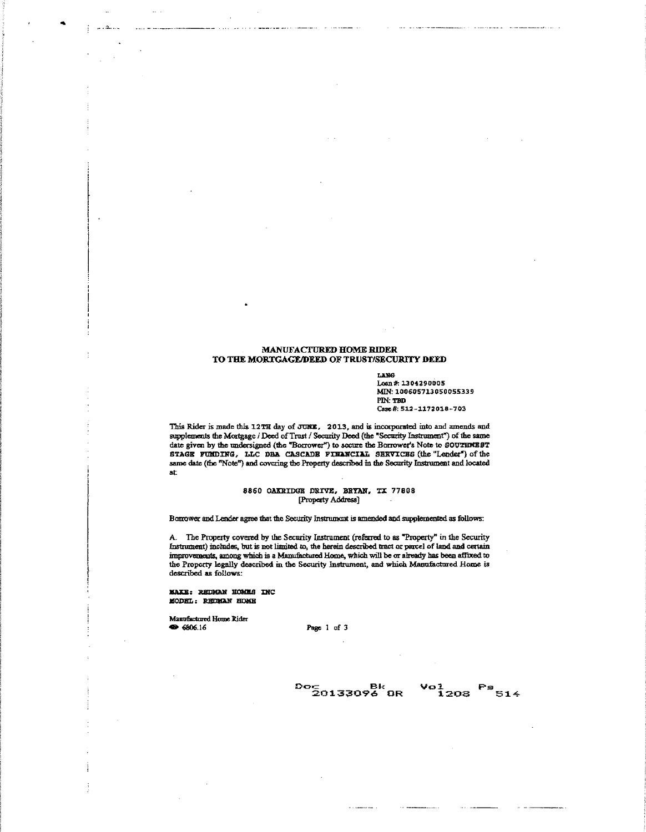#### MANUFACTURED HOME RIDER TO THE MORTGAGE/DEED OF TRUST/SECURITY DEED

LANG Loan#: 13 0¼2 90005 MIN:100605713050055339 PlN:TBD Casc #: 512-1172018-703

This Rider is made this 12TH day of JUNE, 2013, and is incorporated into and amends and supplements the Mortgage *i* Deed of Trust */* Security Deed (the "Security Instrument") of the same date given by the undersigned (the "Borrower") to secure the Borrower's Note to SOUTENEST STAGE FUMDING, LLC DBA CASCADE FINANCIAL SERVICES (the "Lender") of the same date (the "Note") and covering the Property described in the Security Instrument and located at:

#### 8860 OAKRIDGE DRIVE, BRYAN, TX 77808 [.Property Address]

Barrower and Lender agree that the Security Instrument is amended and supplemented as follows:

A. The Property covered by the Security Instrument (refeared to as "Property" in the Security Instrument) includes, but is not limited to, the herein described tract or parcel of land and certain improvements, among which is a Manufactured Home, which will be or already has been affixed to the Property legally described in the Security Instrument, and which Manufactured Home is described as follows:

**MAKE: REDMAN HOMES INC** MODEL: REDMAN HOME

Manufactured Home Rider<br>
St 6806.16

... ,\_ ........ \_

Page 1 of 3

 $\frac{D}{2}$ 0133096 OR  $\frac{5}{2}0133096$  OR  $\frac{1}{2}08$   $\frac{514}{314}$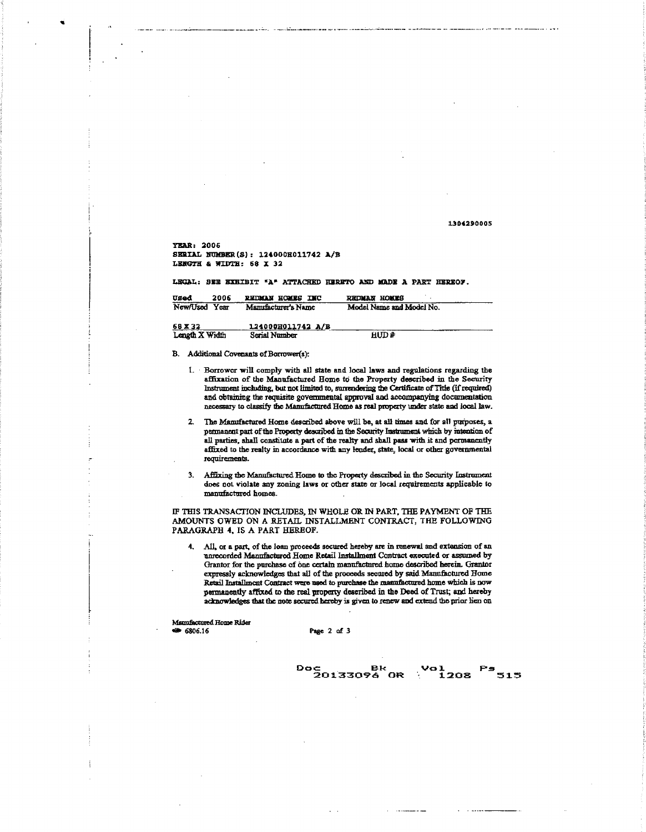1304290005

YEAR: 2006 SERIAL NUMBER(S): 124000H011742 A/B LENGTH & WIDTH: 68 X 32

LEGAL: SEE EXHIBIT "A" ATTACHED HERETO AND MADE A PART HEREOF.

| Uged<br>2006   | <b>PEDMAN HOMES INC</b> | REDMAN HOMES             |
|----------------|-------------------------|--------------------------|
| New/Used Year  | Manufacturer's Name     | Model Name and Model No. |
|                |                         |                          |
| 68 X 32        | 124000H011742 A/B       |                          |
| Length X Width | Serial Number           | HUD#                     |

- B. Additional Covenants of Borrower(s):
	- 1. Borrower will comply with all state and local laws and regulations regarding the affixation of the Manufactured Home to the Property described in the Security Instrument including, but not limited to, surrendering the Certificate of Title (if required) and obtaining the requisite governmental approval and accompanying documentation necessary to classify the Manufactured Home as real property under state and local law.
	- The Manufactured Home described above will be, at all times and for all purposes, a  $2.$ permanent part of the Property described in the Security Instrument which by intention of all parties, shall constitute a part of the realty and shall pass with it and permanently affixed to the realty in accordance with any lender, state, local or other governmental requirements.
	- 3. Affixing the Manufactured Home to the Property described in the Security Instrument does not violate any zoning laws or other state or local requirements applicable to manufactured homes.

IF THIS TRANSACTION INCLUDES, IN WHOLE OR IN PART, THE PAYMENT OF THE AMOUNTS OWED ON A RETAIL INSTALLMENT CONTRACT, THE FOLLOWING PARAGRAPH 4, IS A PART HEREOF.

4. All, or a part, of the loan proceeds secured hereby are in renewal and extension of an unrecorded Manufactured Home Retail Installment Contract executed or assumed by Grantor for the purchase of one certain manufactured home described herein. Grantor expressly acknowledges that all of the proceeds secured by said Mannfactured Home Retail Installment Contract were used to purchase the manufactured home which is now permanently affixed to the real property described in the Deed of Trust; and hereby acknowledges that the note secured hereby is given to renew and extend the prior lien on

Mannfactured Home Rider  $806.16$ 

Page 2 of 3

Doc Bk Vol Ps<br>20133096.0R 1208 515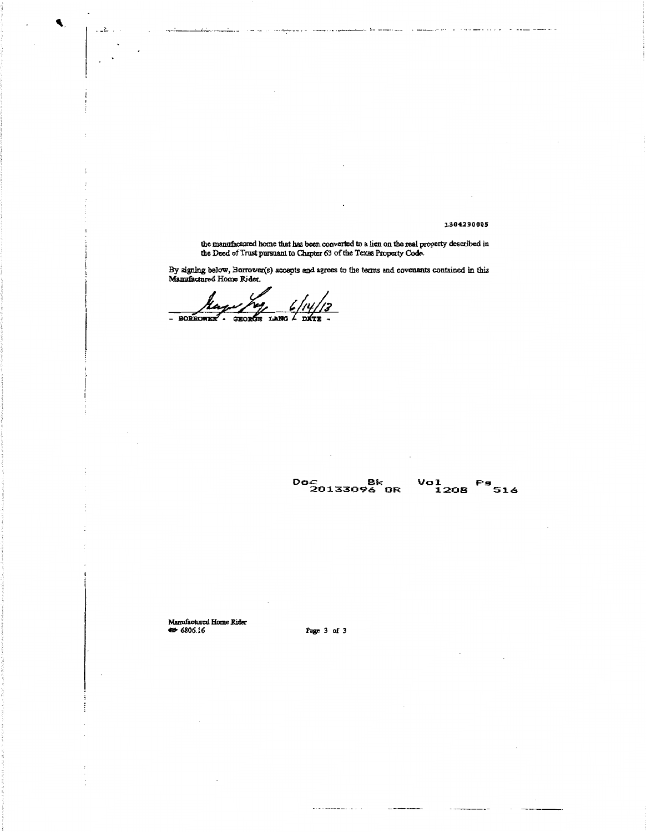1304290005

the manufactured home that has been converted to a lien on the real property described in the Deed of Trust pursuant to Chapter 63 of the Texas Property Code.

By signing below, Borrower(s) accepts and agrees to the terms and covenants contained in this Manufactured Home Rider.

 $\frac{6}{100}$ GEORGE **BORROWER** 

 $\mathbb{Z}_2$  .

Doc Bk Vol Fs<br>20133096 OR 1208 516

ufactured Home Rider Ma  $806.16$ 

Page 3 of 3